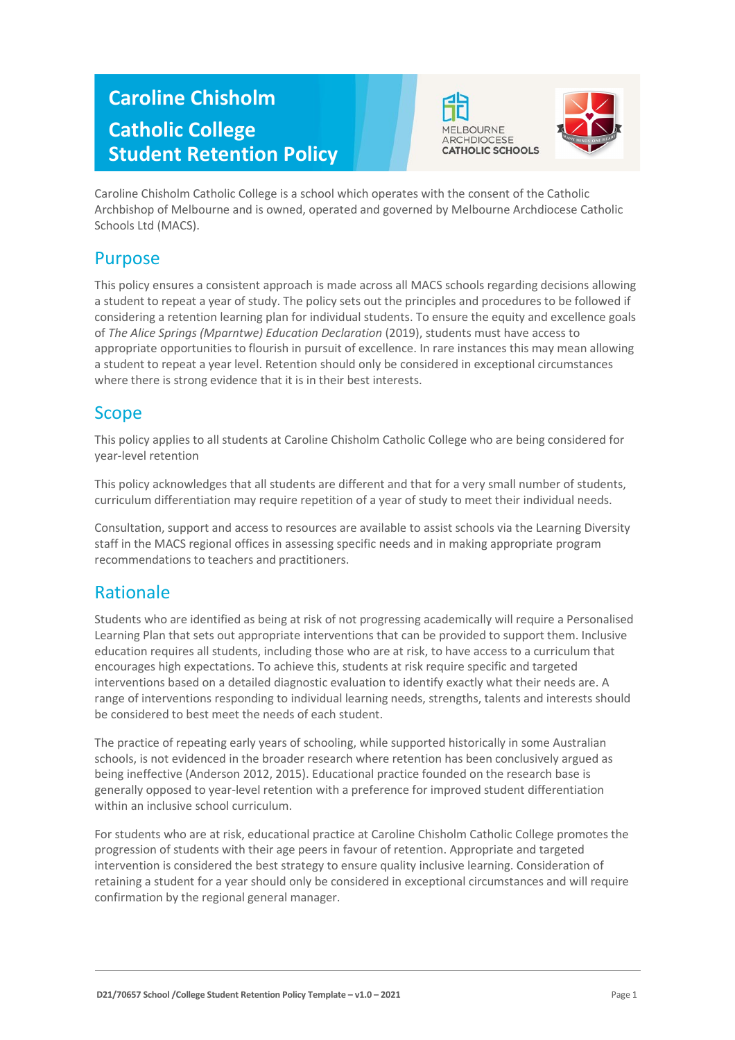# **Caroline Chisholm Catholic College Student Retention Policy**





Caroline Chisholm Catholic College is a school which operates with the consent of the Catholic Archbishop of Melbourne and is owned, operated and governed by Melbourne Archdiocese Catholic Schools Ltd (MACS).

## Purpose

This policy ensures a consistent approach is made across all MACS schools regarding decisions allowing a student to repeat a year of study. The policy sets out the principles and procedures to be followed if considering a retention learning plan for individual students. To ensure the equity and excellence goals of *The Alice Springs (Mparntwe) Education Declaration* (2019), students must have access to appropriate opportunities to flourish in pursuit of excellence. In rare instances this may mean allowing a student to repeat a year level. Retention should only be considered in exceptional circumstances where there is strong evidence that it is in their best interests.

## Scope

This policy applies to all students at Caroline Chisholm Catholic College who are being considered for year-level retention

This policy acknowledges that all students are different and that for a very small number of students, curriculum differentiation may require repetition of a year of study to meet their individual needs.

Consultation, support and access to resources are available to assist schools via the Learning Diversity staff in the MACS regional offices in assessing specific needs and in making appropriate program recommendations to teachers and practitioners.

## Rationale

Students who are identified as being at risk of not progressing academically will require a Personalised Learning Plan that sets out appropriate interventions that can be provided to support them. Inclusive education requires all students, including those who are at risk, to have access to a curriculum that encourages high expectations. To achieve this, students at risk require specific and targeted interventions based on a detailed diagnostic evaluation to identify exactly what their needs are. A range of interventions responding to individual learning needs, strengths, talents and interests should be considered to best meet the needs of each student.

The practice of repeating early years of schooling, while supported historically in some Australian schools, is not evidenced in the broader research where retention has been conclusively argued as being ineffective (Anderson 2012, 2015). Educational practice founded on the research base is generally opposed to year-level retention with a preference for improved student differentiation within an inclusive school curriculum.

For students who are at risk, educational practice at Caroline Chisholm Catholic College promotes the progression of students with their age peers in favour of retention. Appropriate and targeted intervention is considered the best strategy to ensure quality inclusive learning. Consideration of retaining a student for a year should only be considered in exceptional circumstances and will require confirmation by the regional general manager.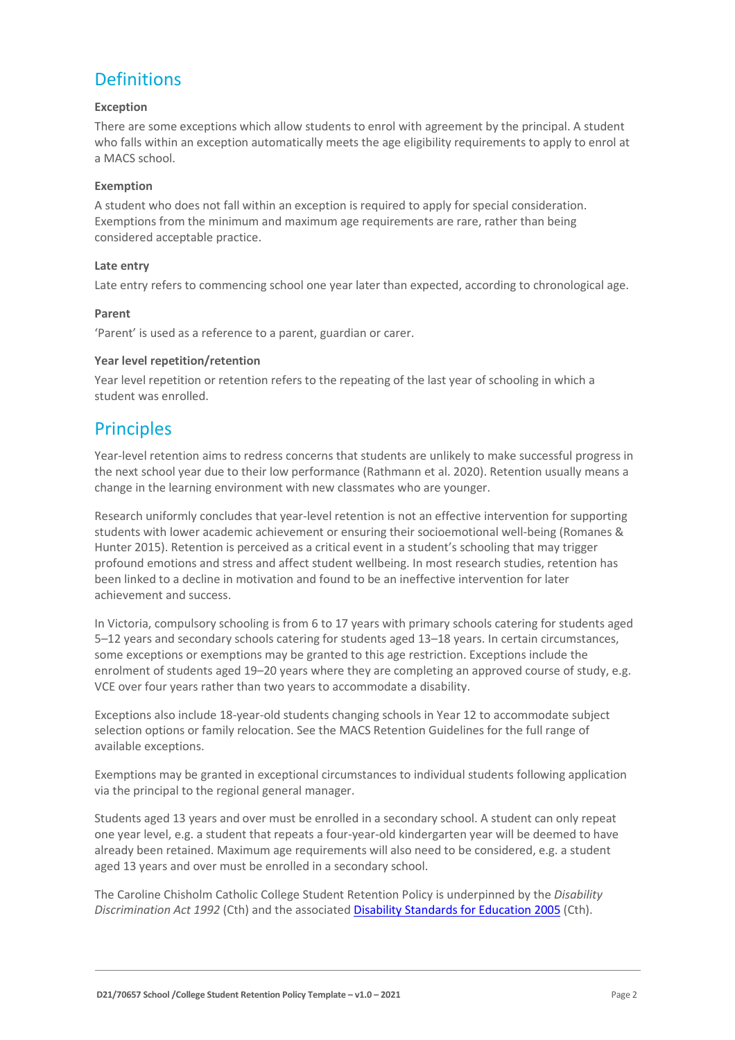## **Definitions**

#### **Exception**

There are some exceptions which allow students to enrol with agreement by the principal. A student who falls within an exception automatically meets the age eligibility requirements to apply to enrol at a MACS school.

#### **Exemption**

A student who does not fall within an exception is required to apply for special consideration. Exemptions from the minimum and maximum age requirements are rare, rather than being considered acceptable practice.

#### **Late entry**

Late entry refers to commencing school one year later than expected, according to chronological age.

#### **Parent**

'Parent' is used as a reference to a parent, guardian or carer.

#### **Year level repetition/retention**

Year level repetition or retention refers to the repeating of the last year of schooling in which a student was enrolled.

### **Principles**

Year-level retention aims to redress concerns that students are unlikely to make successful progress in the next school year due to their low performance (Rathmann et al. 2020). Retention usually means a change in the learning environment with new classmates who are younger.

Research uniformly concludes that year-level retention is not an effective intervention for supporting students with lower academic achievement or ensuring their socioemotional well-being (Romanes & Hunter 2015). Retention is perceived as a critical event in a student's schooling that may trigger profound emotions and stress and affect student wellbeing. In most research studies, retention has been linked to a decline in motivation and found to be an ineffective intervention for later achievement and success.

In Victoria, compulsory schooling is from 6 to 17 years with primary schools catering for students aged 5–12 years and secondary schools catering for students aged 13–18 years. In certain circumstances, some exceptions or exemptions may be granted to this age restriction. Exceptions include the enrolment of students aged 19–20 years where they are completing an approved course of study, e.g. VCE over four years rather than two years to accommodate a disability.

Exceptions also include 18-year-old students changing schools in Year 12 to accommodate subject selection options or family relocation. See the MACS Retention Guidelines for the full range of available exceptions.

Exemptions may be granted in exceptional circumstances to individual students following application via the principal to the regional general manager.

Students aged 13 years and over must be enrolled in a secondary school. A student can only repeat one year level, e.g. a student that repeats a four-year-old kindergarten year will be deemed to have already been retained. Maximum age requirements will also need to be considered, e.g. a student aged 13 years and over must be enrolled in a secondary school.

The Caroline Chisholm Catholic College Student Retention Policy is underpinned by the *Disability Discrimination Act 1992* (Cth) and the associate[d Disability Standards for Education 2005](https://www.education.gov.au/disability-standards-education-2005) (Cth).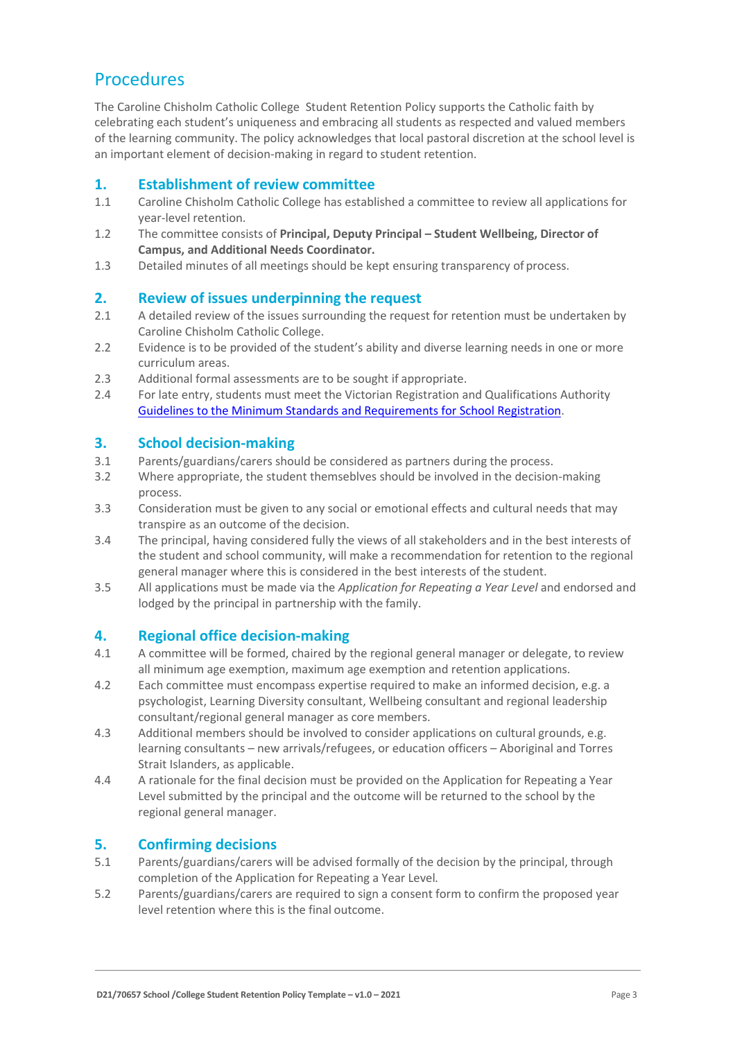## **Procedures**

The Caroline Chisholm Catholic College Student Retention Policy supports the Catholic faith by celebrating each student's uniqueness and embracing all students as respected and valued members of the learning community. The policy acknowledges that local pastoral discretion at the school level is an important element of decision-making in regard to student retention.

### **1. Establishment of review committee**

- 1.1 Caroline Chisholm Catholic College has established a committee to review all applications for year-level retention.
- 1.2 The committee consists of **Principal, Deputy Principal – Student Wellbeing, Director of Campus, and Additional Needs Coordinator.**
- 1.3 Detailed minutes of all meetings should be kept ensuring transparency of process.

#### **2. Review of issues underpinning the request**

- 2.1 A detailed review of the issues surrounding the request for retention must be undertaken by Caroline Chisholm Catholic College.
- 2.2 Evidence is to be provided of the student's ability and diverse learning needs in one or more curriculum areas.
- 2.3 Additional formal assessments are to be sought if appropriate.
- 2.4 For late entry, students must meet the Victorian Registration and Qualifications Authority [Guidelines to the Minimum Standards and Requirements for School Registration.](https://www.vrqa.vic.gov.au/Documents/schoolstandards.docx)

#### **3. School decision-making**

- 3.1 Parents/guardians/carers should be considered as partners during the process.
- 3.2 Where appropriate, the student themseblves should be involved in the decision-making process.
- 3.3 Consideration must be given to any social or emotional effects and cultural needs that may transpire as an outcome of the decision.
- 3.4 The principal, having considered fully the views of all stakeholders and in the best interests of the student and school community, will make a recommendation for retention to the regional general manager where this is considered in the best interests of the student.
- 3.5 All applications must be made via the *Application for Repeating a Year Level* and endorsed and lodged by the principal in partnership with the family.

### **4. Regional office decision-making**

- 4.1 A committee will be formed, chaired by the regional general manager or delegate, to review all minimum age exemption, maximum age exemption and retention applications.
- 4.2 Each committee must encompass expertise required to make an informed decision, e.g. a psychologist, Learning Diversity consultant, Wellbeing consultant and regional leadership consultant/regional general manager as core members.
- 4.3 Additional members should be involved to consider applications on cultural grounds, e.g. learning consultants – new arrivals/refugees, or education officers – Aboriginal and Torres Strait Islanders, as applicable.
- 4.4 A rationale for the final decision must be provided on the Application for Repeating a Year Level submitted by the principal and the outcome will be returned to the school by the regional general manager.

#### **5. Confirming decisions**

- 5.1 Parents/guardians/carers will be advised formally of the decision by the principal, through completion of the Application for Repeating a Year Level*.*
- 5.2 Parents/guardians/carers are required to sign a consent form to confirm the proposed year level retention where this is the final outcome.